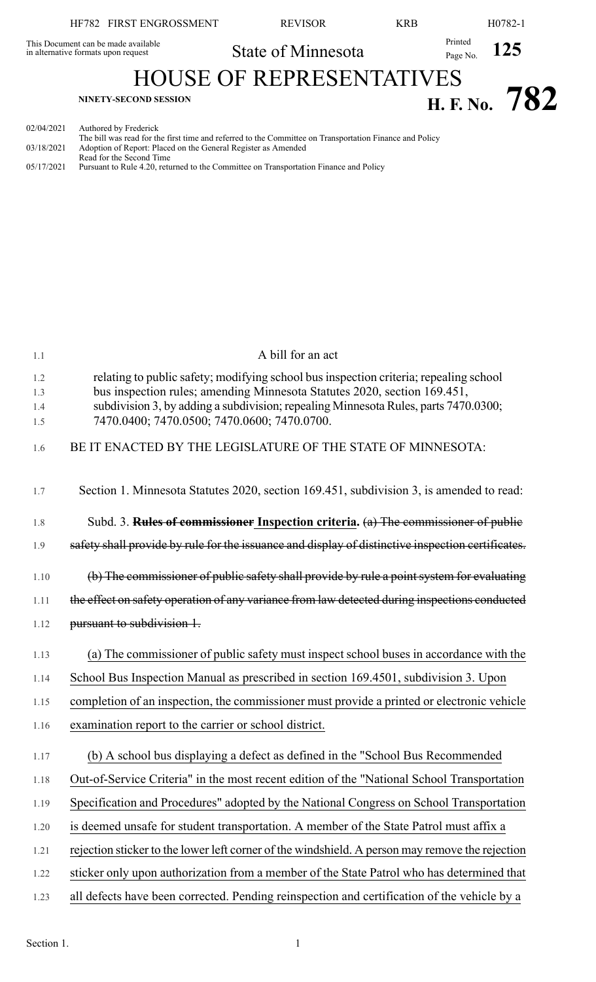|                                                                            | HF782 FIRST ENGROSSMENT                                                                | <b>REVISOR</b>                                                                                          | <b>KRB</b>          | H <sub>0782-1</sub> |  |
|----------------------------------------------------------------------------|----------------------------------------------------------------------------------------|---------------------------------------------------------------------------------------------------------|---------------------|---------------------|--|
| This Document can be made available<br>in alternative formats upon request |                                                                                        | State of Minnesota                                                                                      | Printed<br>Page No. | <b>125</b>          |  |
| <b>HOUSE OF REPRESENTATIVES</b>                                            |                                                                                        |                                                                                                         |                     |                     |  |
|                                                                            | <b>NINETY-SECOND SESSION</b>                                                           |                                                                                                         |                     | H. F. No. $782$     |  |
| 02/04/2021<br>03/18/2021                                                   | Authored by Frederick<br>Adoption of Report: Placed on the General Register as Amended | The bill was read for the first time and referred to the Committee on Transportation Finance and Policy |                     |                     |  |

Read for the Second Time

05/17/2021 Pursuant to Rule 4.20, returned to the Committee on Transportation Finance and Policy

| 1.1        | A bill for an act                                                                                                                  |
|------------|------------------------------------------------------------------------------------------------------------------------------------|
| 1.2        | relating to public safety; modifying school bus inspection criteria; repealing school                                              |
| 1.3        | bus inspection rules; amending Minnesota Statutes 2020, section 169.451,                                                           |
| 1.4<br>1.5 | subdivision 3, by adding a subdivision; repealing Minnesota Rules, parts 7470.0300;<br>7470.0400; 7470.0500; 7470.0600; 7470.0700. |
|            |                                                                                                                                    |
| 1.6        | BE IT ENACTED BY THE LEGISLATURE OF THE STATE OF MINNESOTA:                                                                        |
|            |                                                                                                                                    |
| 1.7        | Section 1. Minnesota Statutes 2020, section 169.451, subdivision 3, is amended to read:                                            |
| 1.8        | Subd. 3. <b>Rules of commissioner Inspection criteria.</b> (a) The commissioner of public                                          |
| 1.9        | safety shall provide by rule for the issuance and display of distinctive inspection certificates.                                  |
|            |                                                                                                                                    |
| 1.10       | (b) The commissioner of public safety shall provide by rule a point system for evaluating                                          |
| 1.11       | the effect on safety operation of any variance from law detected during inspections conducted                                      |
| 1.12       | pursuant to subdivision 1.                                                                                                         |
| 1.13       | (a) The commissioner of public safety must inspect school buses in accordance with the                                             |
|            |                                                                                                                                    |
| 1.14       | School Bus Inspection Manual as prescribed in section 169.4501, subdivision 3. Upon                                                |
| 1.15       | completion of an inspection, the commissioner must provide a printed or electronic vehicle                                         |
| 1.16       | examination report to the carrier or school district.                                                                              |
| 1.17       | (b) A school bus displaying a defect as defined in the "School Bus Recommended                                                     |
| 1.18       | Out-of-Service Criteria" in the most recent edition of the "National School Transportation                                         |
| 1.19       | Specification and Procedures" adopted by the National Congress on School Transportation                                            |
| 1.20       | is deemed unsafe for student transportation. A member of the State Patrol must affix a                                             |
| 1.21       | rejection sticker to the lower left corner of the windshield. A person may remove the rejection                                    |
| 1.22       | sticker only upon authorization from a member of the State Patrol who has determined that                                          |
|            |                                                                                                                                    |

1.23 all defects have been corrected. Pending reinspection and certification of the vehicle by a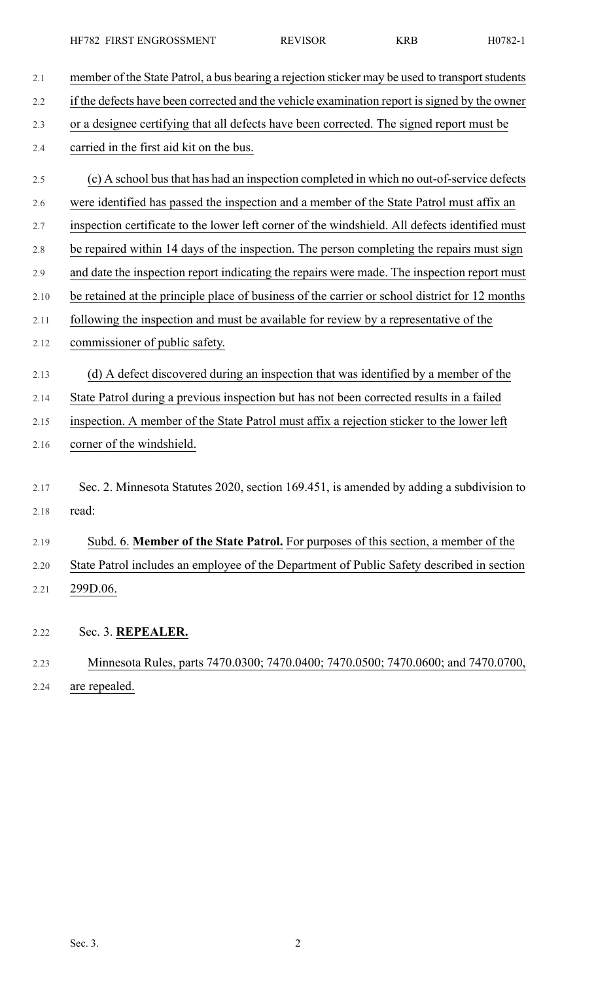2.1 member of the State Patrol, a bus bearing a rejection sticker may be used to transport students 2.2 if the defects have been corrected and the vehicle examination report is signed by the owner 2.3 or a designee certifying that all defects have been corrected. The signed report must be 2.4 carried in the first aid kit on the bus. 2.5 (c) A school busthat has had an inspection completed in which no out-of-service defects 2.6 were identified has passed the inspection and a member of the State Patrol must affix an 2.7 inspection certificate to the lower left corner of the windshield. All defects identified must 2.8 be repaired within 14 days of the inspection. The person completing the repairs must sign 2.9 and date the inspection report indicating the repairs were made. The inspection report must 2.10 be retained at the principle place of business of the carrier or school district for 12 months 2.11 following the inspection and must be available for review by a representative of the 2.12 commissioner of public safety. 2.13 (d) A defect discovered during an inspection that was identified by a member of the 2.14 State Patrol during a previous inspection but has not been corrected results in a failed 2.15 inspection. A member of the State Patrol must affix a rejection sticker to the lower left 2.16 corner of the windshield. 2.17 Sec. 2. Minnesota Statutes 2020, section 169.451, is amended by adding a subdivision to 2.18 read: 2.19 Subd. 6. **Member of the State Patrol.** For purposes of this section, a member of the 2.20 State Patrol includes an employee of the Department of Public Safety described in section 2.21 299D.06. 2.22 Sec. 3. **REPEALER.** 2.23 Minnesota Rules, parts 7470.0300; 7470.0400; 7470.0500; 7470.0600; and 7470.0700, 2.24 are repealed.